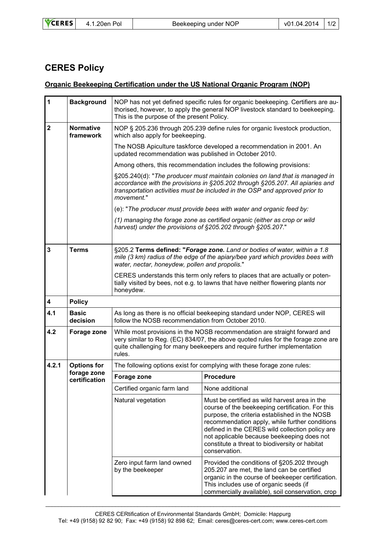|  | <b>VCERES</b> | 4.1.20en Pol | Beekeeping under NOP | v01.04.2014   1/2 |  |
|--|---------------|--------------|----------------------|-------------------|--|
|--|---------------|--------------|----------------------|-------------------|--|

## **CERES Policy**

## **Organic Beekeeping Certification under the US National Organic Program (NOP)**

| $\mathbf{1}$            | <b>Background</b>             | NOP has not yet defined specific rules for organic beekeeping. Certifiers are au-<br>thorised, however, to apply the general NOP livestock standard to beekeeping.<br>This is the purpose of the present Policy.                                           |                                                                                                                                                                                                                                                         |  |
|-------------------------|-------------------------------|------------------------------------------------------------------------------------------------------------------------------------------------------------------------------------------------------------------------------------------------------------|---------------------------------------------------------------------------------------------------------------------------------------------------------------------------------------------------------------------------------------------------------|--|
| $\mathbf 2$             | <b>Normative</b><br>framework | NOP § 205.236 through 205.239 define rules for organic livestock production,<br>which also apply for beekeeping.                                                                                                                                           |                                                                                                                                                                                                                                                         |  |
|                         |                               | The NOSB Apiculture taskforce developed a recommendation in 2001. An<br>updated recommendation was published in October 2010.                                                                                                                              |                                                                                                                                                                                                                                                         |  |
|                         |                               | Among others, this recommendation includes the following provisions:                                                                                                                                                                                       |                                                                                                                                                                                                                                                         |  |
|                         |                               | §205.240(d): "The producer must maintain colonies on land that is managed in<br>accordance with the provisions in §205.202 through §205.207. All apiaries and<br>transportation activities must be included in the OSP and approved prior to<br>movement." |                                                                                                                                                                                                                                                         |  |
|                         |                               | (e): "The producer must provide bees with water and organic feed by:                                                                                                                                                                                       |                                                                                                                                                                                                                                                         |  |
|                         |                               | (1) managing the forage zone as certified organic (either as crop or wild<br>harvest) under the provisions of §205.202 through §205.207."                                                                                                                  |                                                                                                                                                                                                                                                         |  |
|                         |                               |                                                                                                                                                                                                                                                            |                                                                                                                                                                                                                                                         |  |
| $\overline{\mathbf{3}}$ | <b>Terms</b>                  | §205.2 Terms defined: "Forage zone. Land or bodies of water, within a 1.8<br>mile (3 km) radius of the edge of the apiary/bee yard which provides bees with<br>water, nectar, honeydew, pollen and propolis."                                              |                                                                                                                                                                                                                                                         |  |
|                         |                               | CERES understands this term only refers to places that are actually or poten-<br>tially visited by bees, not e.g. to lawns that have neither flowering plants nor<br>honeydew.                                                                             |                                                                                                                                                                                                                                                         |  |
| $\overline{\mathbf{4}}$ | <b>Policy</b>                 |                                                                                                                                                                                                                                                            |                                                                                                                                                                                                                                                         |  |
| 4.1                     | <b>Basic</b><br>decision      | As long as there is no official beekeeping standard under NOP, CERES will<br>follow the NOSB recommendation from October 2010.                                                                                                                             |                                                                                                                                                                                                                                                         |  |
| 4.2                     | Forage zone                   | While most provisions in the NOSB recommendation are straight forward and<br>very similar to Reg. (EC) 834/07, the above quoted rules for the forage zone are<br>quite challenging for many beekeepers and require further implementation<br>rules.        |                                                                                                                                                                                                                                                         |  |
| 4.2.1                   | <b>Options for</b>            | The following options exist for complying with these forage zone rules:                                                                                                                                                                                    |                                                                                                                                                                                                                                                         |  |
|                         | forage zone<br>certification  | Forage zone                                                                                                                                                                                                                                                | <b>Procedure</b>                                                                                                                                                                                                                                        |  |
|                         |                               | Certified organic farm land                                                                                                                                                                                                                                | None additional                                                                                                                                                                                                                                         |  |
|                         |                               | Natural vegetation                                                                                                                                                                                                                                         | Must be certified as wild harvest area in the<br>course of the beekeeping certification. For this<br>purpose, the criteria established in the NOSB<br>recommendation apply, while further conditions<br>defined in the CERES wild collection policy are |  |
|                         |                               |                                                                                                                                                                                                                                                            | not applicable because beekeeping does not<br>constitute a threat to biodiversity or habitat<br>conservation.                                                                                                                                           |  |

 $\_$  , and the set of the set of the set of the set of the set of the set of the set of the set of the set of the set of the set of the set of the set of the set of the set of the set of the set of the set of the set of th